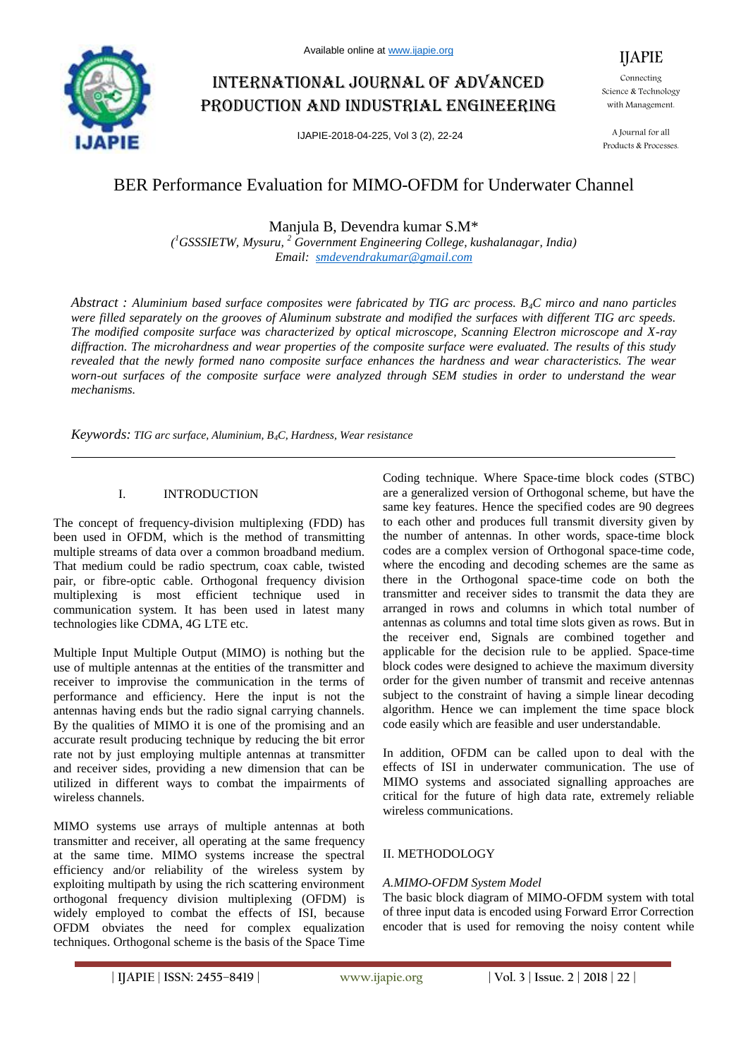

# International journal of advanced production and industrial engineering

IJAPIE-2018-04-225, Vol 3 (2), 22-24

Connecting Science & Technology with Management.

IJAPIE

A Journal for all Products & Processes.

# BER Performance Evaluation for MIMO-OFDM for Underwater Channel

Manjula B, Devendra kumar S.M\*

*( <sup>1</sup>GSSSIETW, Mysuru, <sup>2</sup> Government Engineering College, kushalanagar, India) Email: smdevendrakumar@gmail.com*

*Abstract : Aluminium based surface composites were fabricated by TIG arc process. B4C mirco and nano particles were filled separately on the grooves of Aluminum substrate and modified the surfaces with different TIG arc speeds. The modified composite surface was characterized by optical microscope, Scanning Electron microscope and X-ray diffraction. The microhardness and wear properties of the composite surface were evaluated. The results of this study revealed that the newly formed nano composite surface enhances the hardness and wear characteristics. The wear worn-out surfaces of the composite surface were analyzed through SEM studies in order to understand the wear mechanisms.*

*Keywords: TIG arc surface, Aluminium, B4C, Hardness, Wear resistance*

# I. INTRODUCTION

The concept of frequency-division multiplexing (FDD) has been used in OFDM, which is the method of transmitting multiple streams of data over a common broadband medium. That medium could be radio spectrum, coax cable, twisted pair, or fibre-optic cable. Orthogonal frequency division multiplexing is most efficient technique used in communication system. It has been used in latest many technologies like CDMA, 4G LTE etc.

Multiple Input Multiple Output (MIMO) is nothing but the use of multiple antennas at the entities of the transmitter and receiver to improvise the communication in the terms of performance and efficiency. Here the input is not the antennas having ends but the radio signal carrying channels. By the qualities of MIMO it is one of the promising and an accurate result producing technique by reducing the bit error rate not by just employing multiple antennas at transmitter and receiver sides, providing a new dimension that can be utilized in different ways to combat the impairments of wireless channels.

MIMO systems use arrays of multiple antennas at both transmitter and receiver, all operating at the same frequency at the same time. MIMO systems increase the spectral efficiency and/or reliability of the wireless system by exploiting multipath by using the rich scattering environment orthogonal frequency division multiplexing (OFDM) is widely employed to combat the effects of ISI, because OFDM obviates the need for complex equalization techniques. Orthogonal scheme is the basis of the Space Time

Coding technique. Where Space-time block codes (STBC) are a generalized version of Orthogonal scheme, but have the same key features. Hence the specified codes are 90 degrees to each other and produces full transmit diversity given by the number of antennas. In other words, space-time block codes are a complex version of Orthogonal space-time code, where the encoding and decoding schemes are the same as there in the Orthogonal space-time code on both the transmitter and receiver sides to transmit the data they are arranged in rows and columns in which total number of antennas as columns and total time slots given as rows. But in the receiver end, Signals are combined together and applicable for the decision rule to be applied. Space-time block codes were designed to achieve the maximum diversity order for the given number of transmit and receive antennas subject to the constraint of having a simple linear decoding algorithm. Hence we can implement the time space block code easily which are feasible and user understandable.

In addition, OFDM can be called upon to deal with the effects of ISI in underwater communication. The use of MIMO systems and associated signalling approaches are critical for the future of high data rate, extremely reliable wireless communications.

#### II. METHODOLOGY

#### *A.MIMO-OFDM System Model*

The basic block diagram of MIMO-OFDM system with total of three input data is encoded using Forward Error Correction encoder that is used for removing the noisy content while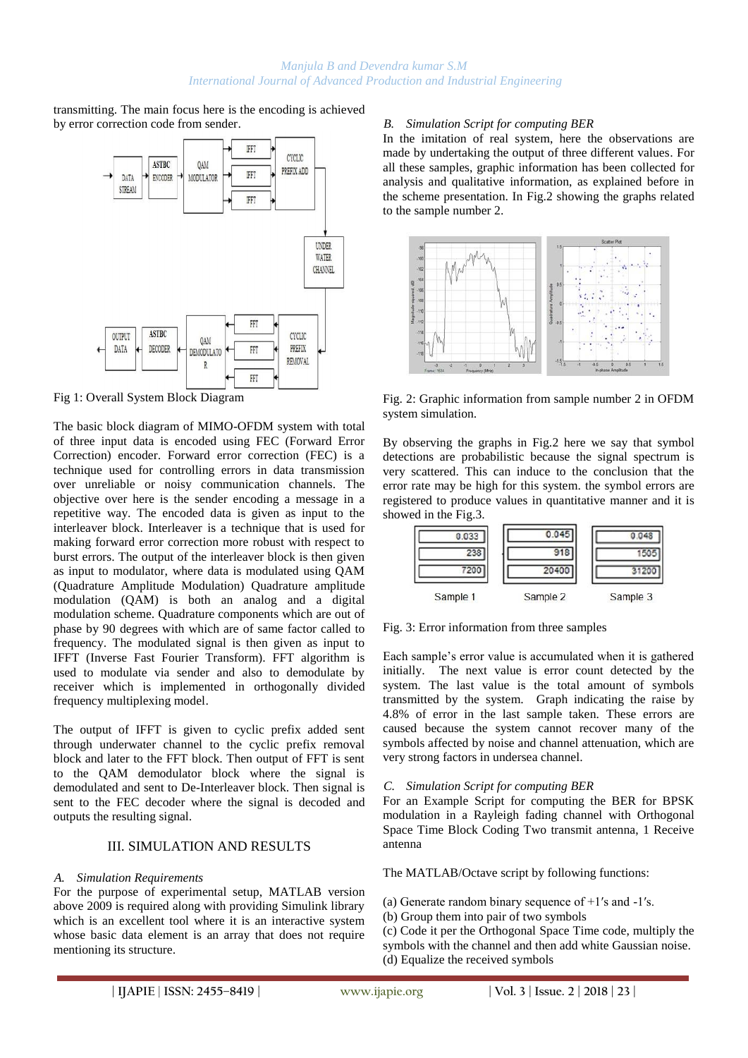transmitting. The main focus here is the encoding is achieved by error correction code from sender.



Fig 1: Overall System Block Diagram

The basic block diagram of MIMO-OFDM system with total of three input data is encoded using FEC (Forward Error Correction) encoder. Forward error correction (FEC) is a technique used for controlling errors in data transmission over unreliable or noisy communication channels. The objective over here is the sender encoding a message in a repetitive way. The encoded data is given as input to the interleaver block. Interleaver is a technique that is used for making forward error correction more robust with respect to burst errors. The output of the interleaver block is then given as input to modulator, where data is modulated using QAM (Quadrature Amplitude Modulation) Quadrature amplitude modulation (QAM) is both an analog and a digital modulation scheme. Quadrature components which are out of phase by 90 degrees with which are of same factor called to frequency. The modulated signal is then given as input to IFFT (Inverse Fast Fourier Transform). FFT algorithm is used to modulate via sender and also to demodulate by receiver which is implemented in orthogonally divided frequency multiplexing model.

The output of IFFT is given to cyclic prefix added sent through underwater channel to the cyclic prefix removal block and later to the FFT block. Then output of FFT is sent to the QAM demodulator block where the signal is demodulated and sent to De-Interleaver block. Then signal is sent to the FEC decoder where the signal is decoded and outputs the resulting signal.

#### III. SIMULATION AND RESULTS

#### *A. Simulation Requirements*

For the purpose of experimental setup, MATLAB version above 2009 is required along with providing Simulink library which is an excellent tool where it is an interactive system whose basic data element is an array that does not require mentioning its structure.

# *B. Simulation Script for computing BER*

In the imitation of real system, here the observations are made by undertaking the output of three different values. For all these samples, graphic information has been collected for analysis and qualitative information, as explained before in the scheme presentation. In Fig.2 showing the graphs related to the sample number 2.



Fig. 2: Graphic information from sample number 2 in OFDM system simulation.

By observing the graphs in Fig.2 here we say that symbol detections are probabilistic because the signal spectrum is very scattered. This can induce to the conclusion that the error rate may be high for this system. the symbol errors are registered to produce values in quantitative manner and it is showed in the Fig.3.



Fig. 3: Error information from three samples

Each sample's error value is accumulated when it is gathered initially. The next value is error count detected by the system. The last value is the total amount of symbols transmitted by the system. Graph indicating the raise by 4.8% of error in the last sample taken. These errors are caused because the system cannot recover many of the symbols affected by noise and channel attenuation, which are very strong factors in undersea channel.

#### *C. Simulation Script for computing BER*

For an Example Script for computing the BER for BPSK modulation in a Rayleigh fading channel with Orthogonal Space Time Block Coding Two transmit antenna, 1 Receive antenna

The MATLAB/Octave script by following functions:

(a) Generate random binary sequence of  $+1$ 's and  $-1$ 's.

(b) Group them into pair of two symbols

(c) Code it per the Orthogonal Space Time code, multiply the symbols with the channel and then add white Gaussian noise. (d) Equalize the received symbols